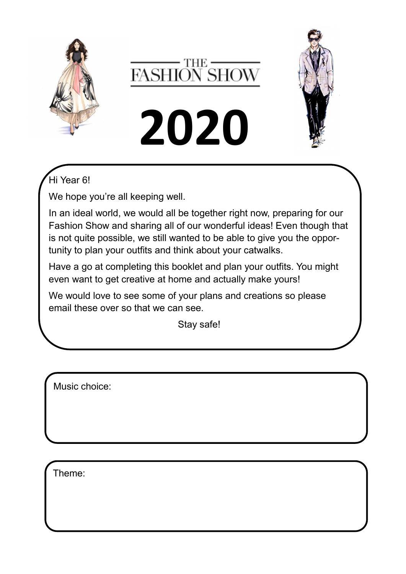







## Hi Year 6!

We hope you're all keeping well.

In an ideal world, we would all be together right now, preparing for our Fashion Show and sharing all of our wonderful ideas! Even though that is not quite possible, we still wanted to be able to give you the opportunity to plan your outfits and think about your catwalks.

Have a go at completing this booklet and plan your outfits. You might even want to get creative at home and actually make yours!

We would love to see some of your plans and creations so please email these over so that we can see.

Stay safe!

Music choice:

Theme: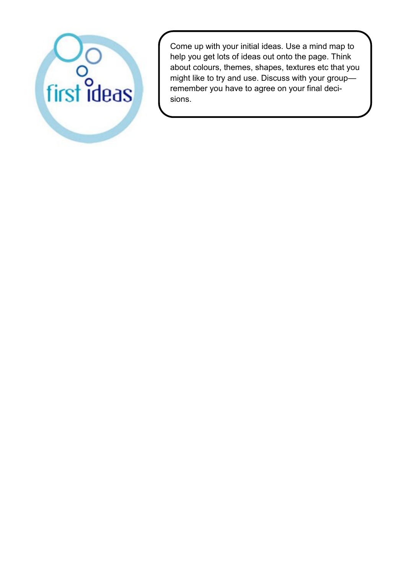

Come up with your initial ideas. Use a mind map to help you get lots of ideas out onto the page. Think about colours, themes, shapes, textures etc that you might like to try and use. Discuss with your group remember you have to agree on your final decisions.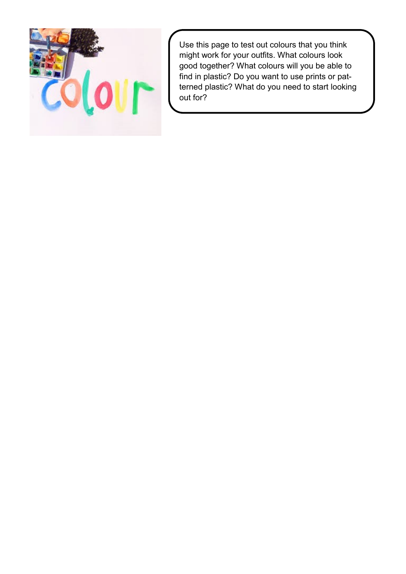

Use this page to test out colours that you think might work for your outfits. What colours look good together? What colours will you be able to find in plastic? Do you want to use prints or patterned plastic? What do you need to start looking out for?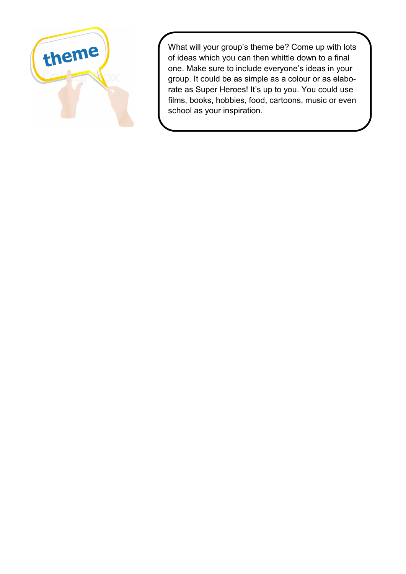

What will your group's theme be? Come up with lots of ideas which you can then whittle down to a final one. Make sure to include everyone's ideas in your group. It could be as simple as a colour or as elaborate as Super Heroes! It's up to you. You could use films, books, hobbies, food, cartoons, music or even school as your inspiration.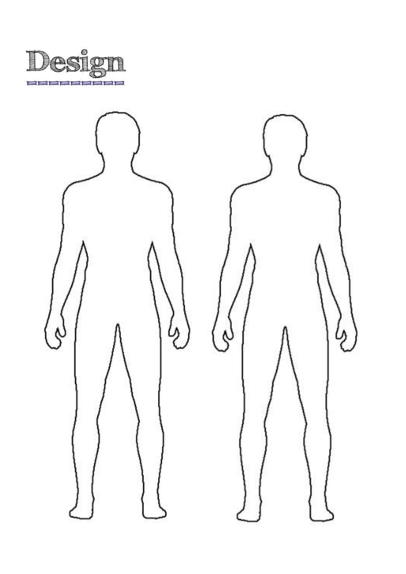

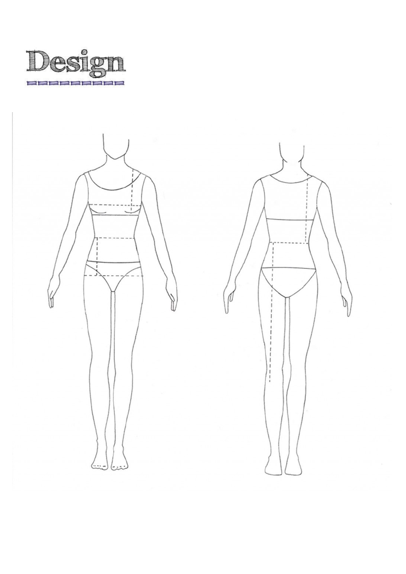